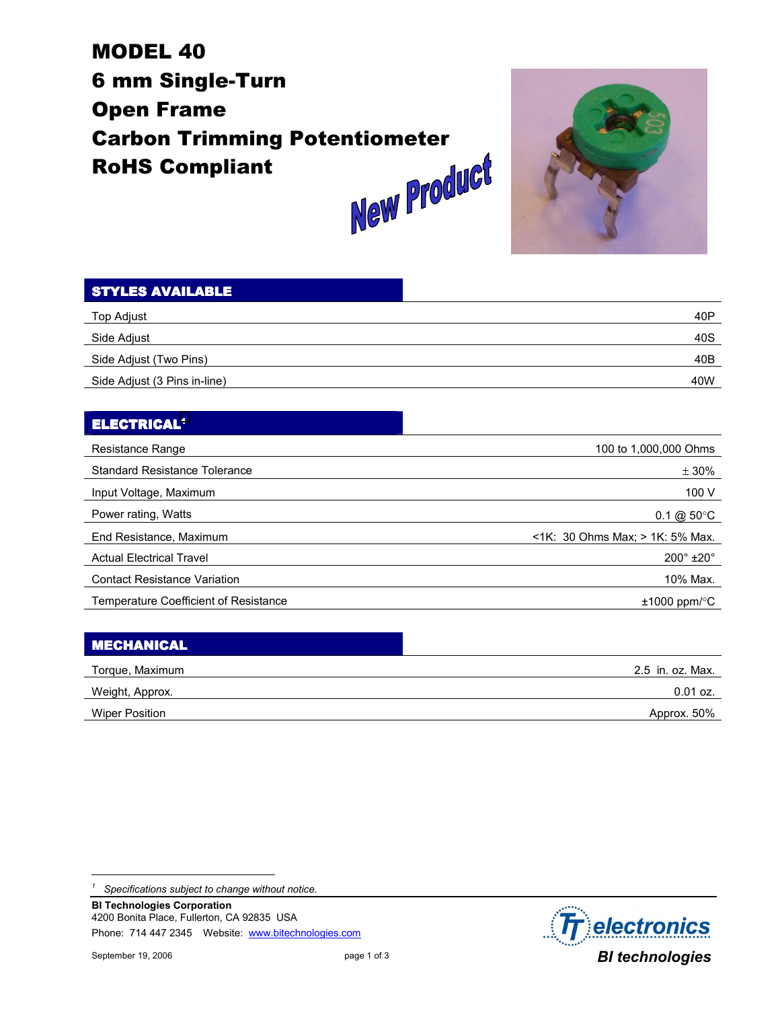# MODEL 40 6 mm Single-Turn Open Frame Carbon Trimming Potentiometer<br>RoHS Compliant<br>Alam Product RoHS Compliant



| <b>STYLES AVAILABLE</b>      |                 |
|------------------------------|-----------------|
| Top Adjust                   | 40 <sub>P</sub> |
| Side Adjust                  | 40S             |
| Side Adjust (Two Pins)       | 40B             |
| Side Adjust (3 Pins in-line) | 40W             |

#### ELECTRICAL1

| Resistance Range                      | 100 to 1,000,000 Ohms                 |
|---------------------------------------|---------------------------------------|
| <b>Standard Resistance Tolerance</b>  | ± 30%                                 |
| Input Voltage, Maximum                | 100 V                                 |
| Power rating, Watts                   | $0.1 \& 50^{\circ}$ C                 |
| End Resistance, Maximum               | $\leq$ 1K: 30 Ohms Max; > 1K: 5% Max. |
| <b>Actual Electrical Travel</b>       | $200^\circ \pm 20^\circ$              |
| <b>Contact Resistance Variation</b>   | 10% Max.                              |
| Temperature Coefficient of Resistance | $±1000$ ppm/ $°C$                     |

| <b>MECHANICAL</b> |                  |
|-------------------|------------------|
| Torque, Maximum   | 2.5 in. oz. Max. |
| Weight, Approx.   | $0.01$ oz.       |
| Wiper Position    | Approx. 50%      |

l



*<sup>1</sup> Specifications subject to change without notice.*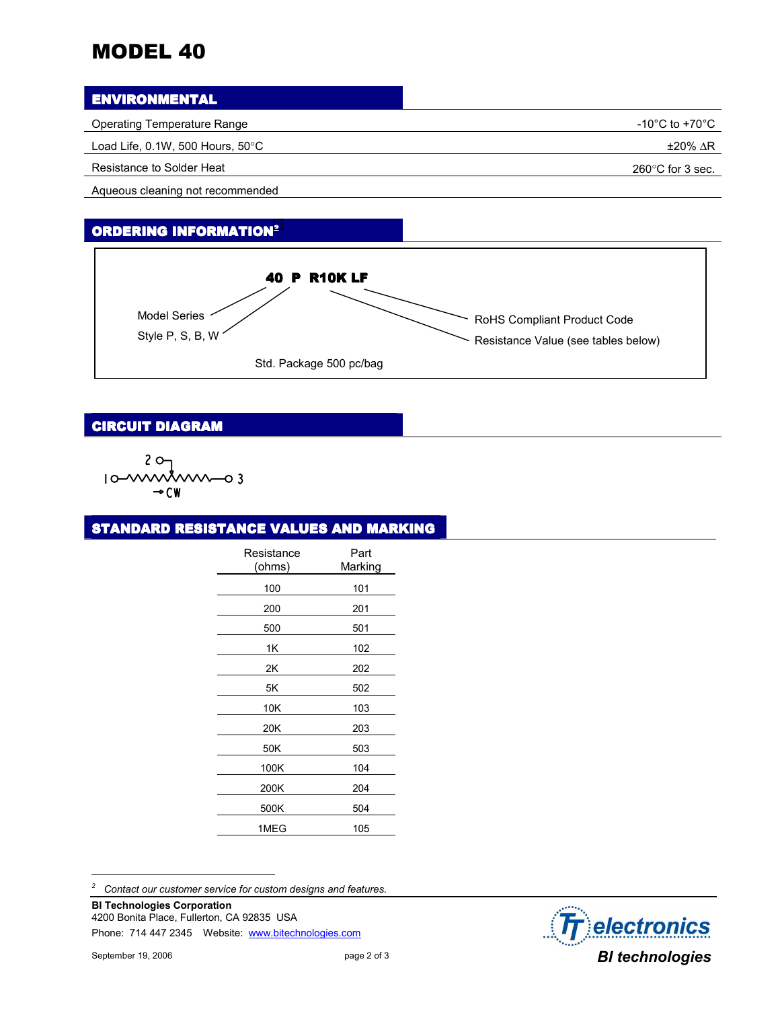## MODEL 40

#### **ENVIRONMENTAL**

| Operating Temperature Range                    | -10°C to +70°C $\,$        |
|------------------------------------------------|----------------------------|
| Load Life, $0.1W$ , 500 Hours, 50 $^{\circ}$ C | ±20% ∆R                    |
| Resistance to Solder Heat                      | $260^{\circ}$ C for 3 sec. |

Aqueous cleaning not recommended

#### ORDERING INFORMATION2



#### **CIRCUIT DIAGRAM**

$$
10^{-20}T
$$
\n
$$
10^{-100}T
$$
\n
$$
10^{-100}T
$$
\n
$$
10^{-100}T
$$
\n
$$
10^{-10}
$$

#### STANDARD RESISTANCE VALUES AND MARKING

| Resistance<br>(ohms) | Part<br>Marking |
|----------------------|-----------------|
| 100                  | 101             |
| 200                  | 201             |
| 500                  | 501             |
| 1Κ                   | 102             |
| 2Κ                   | 202             |
| 5Κ                   | 502             |
| 10K                  | 103             |
| 20K                  | 203             |
| 50K                  | 503             |
| 100K                 | 104             |
| 200K                 | 204             |
| 500K                 | 504             |
| 1MEG                 | 105             |

*2 Contact our customer service for custom designs and features.* 

**BI Technologies Corporation**  4200 Bonita Place, Fullerton, CA 92835 USA Phone: 714 447 2345 Website: www.bitechnologies.com

l

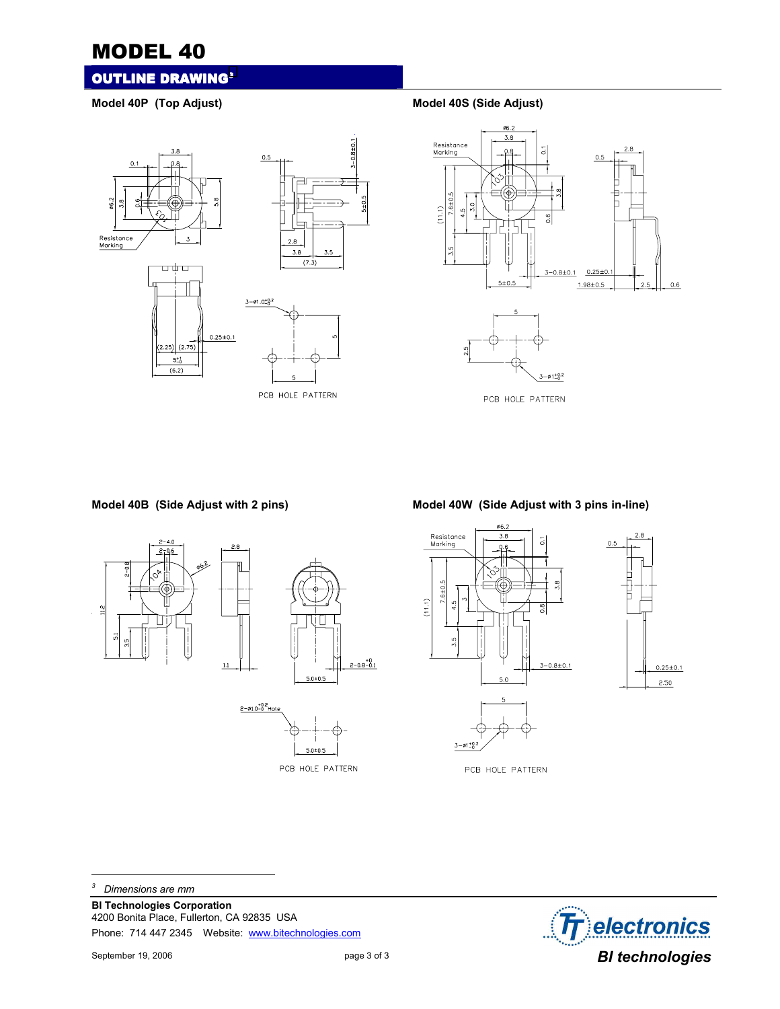### MODEL 40

#### **OUTLINE DRAWING3**

Model 40P (Top Adjust) **Model 40S** (Side Adjust)





**Model 40B (Side Adjust with 2 pins) Model 40W (Side Adjust with 3 pins in-line)** 





PCB HOLE PATTERN

*3 Dimensions are mm* 

**BI Technologies Corporation**  4200 Bonita Place, Fullerton, CA 92835 USA Phone: 714 447 2345 Website: www.bitechnologies.com



l

PCB HOLE PATTERN